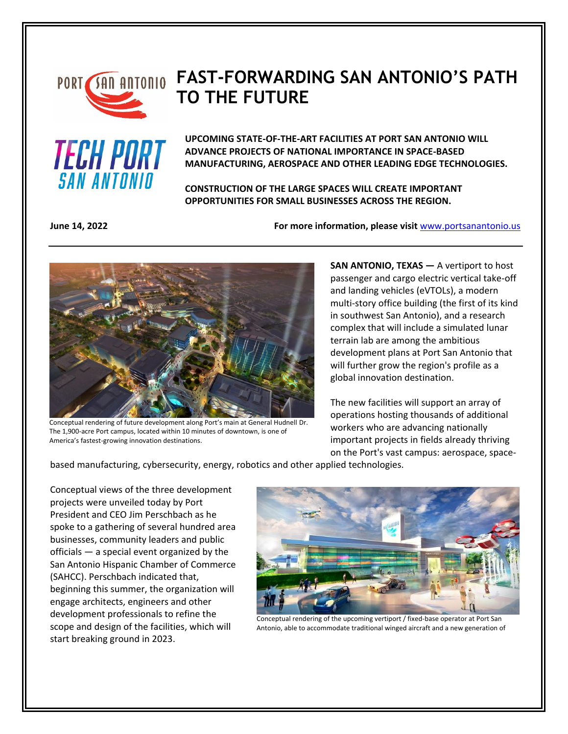

## **PORT SAN ANTONIO FAST-FORWARDING SAN ANTONIO'S PATH TO THE FUTURE**



**UPCOMING STATE-OF-THE-ART FACILITIES AT PORT SAN ANTONIO WILL ADVANCE PROJECTS OF NATIONAL IMPORTANCE IN SPACE-BASED MANUFACTURING, AEROSPACE AND OTHER LEADING EDGE TECHNOLOGIES.**

**CONSTRUCTION OF THE LARGE SPACES WILL CREATE IMPORTANT OPPORTUNITIES FOR SMALL BUSINESSES ACROSS THE REGION.**

**June 14, 2022 For more information, please visit** [www.portsanantonio.us](http://www.portsanantonio.us/innovation)



Conceptual rendering of future development along Port's main at General Hudnell Dr. The 1,900-acre Port campus, located within 10 minutes of downtown, is one of America's fastest-growing innovation destinations.

**SAN ANTONIO, TEXAS** — A vertiport to host passenger and cargo electric vertical take-off and landing vehicles (eVTOLs), a modern multi-story office building (the first of its kind in southwest San Antonio), and a research complex that will include a simulated lunar terrain lab are among the ambitious development plans at Port San Antonio that will further grow the region's profile as a global innovation destination.

The new facilities will support an array of operations hosting thousands of additional workers who are advancing nationally important projects in fields already thriving on the Port's vast campus: aerospace, space-

based manufacturing, cybersecurity, energy, robotics and other applied technologies.

Conceptual views of the three development projects were unveiled today by Port President and CEO Jim Perschbach as he spoke to a gathering of several hundred area businesses, community leaders and public officials — a special event organized by the San Antonio Hispanic Chamber of Commerce (SAHCC). Perschbach indicated that, beginning this summer, the organization will engage architects, engineers and other development professionals to refine the scope and design of the facilities, which will start breaking ground in 2023.



Conceptual rendering of the upcoming vertiport / fixed-base operator at Port San Antonio, able to accommodate traditional winged aircraft and a new generation of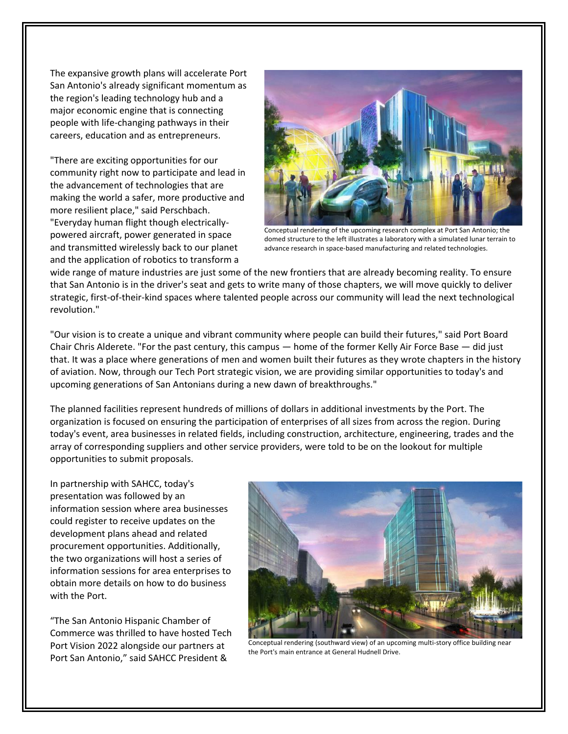The expansive growth plans will accelerate Port San Antonio's already significant momentum as the region's leading technology hub and a major economic engine that is connecting people with life-changing pathways in their careers, education and as entrepreneurs.

"There are exciting opportunities for our community right now to participate and lead in the advancement of technologies that are making the world a safer, more productive and more resilient place," said Perschbach. "Everyday human flight though electricallypowered aircraft, power generated in space and transmitted wirelessly back to our planet and the application of robotics to transform a



Conceptual rendering of the upcoming research complex at Port San Antonio; the domed structure to the left illustrates a laboratory with a simulated lunar terrain to advance research in space-based manufacturing and related technologies.

wide range of mature industries are just some of the new frontiers that are already becoming reality. To ensure that San Antonio is in the driver's seat and gets to write many of those chapters, we will move quickly to deliver strategic, first-of-their-kind spaces where talented people across our community will lead the next technological revolution."

"Our vision is to create a unique and vibrant community where people can build their futures," said Port Board Chair Chris Alderete. "For the past century, this campus — home of the former Kelly Air Force Base — did just that. It was a place where generations of men and women built their futures as they wrote chapters in the history of aviation. Now, through our Tech Port strategic vision, we are providing similar opportunities to today's and upcoming generations of San Antonians during a new dawn of breakthroughs."

The planned facilities represent hundreds of millions of dollars in additional investments by the Port. The organization is focused on ensuring the participation of enterprises of all sizes from across the region. During today's event, area businesses in related fields, including construction, architecture, engineering, trades and the array of corresponding suppliers and other service providers, were told to be on the lookout for multiple opportunities to submit proposals.

In partnership with SAHCC, today's presentation was followed by an information session where area businesses could register to receive updates on the development plans ahead and related procurement opportunities. Additionally, the two organizations will host a series of information sessions for area enterprises to obtain more details on how to do business with the Port.

"The San Antonio Hispanic Chamber of Commerce was thrilled to have hosted Tech Port Vision 2022 alongside our partners at Port San Antonio," said SAHCC President &



Conceptual rendering (southward view) of an upcoming multi-story office building near the Port's main entrance at General Hudnell Drive.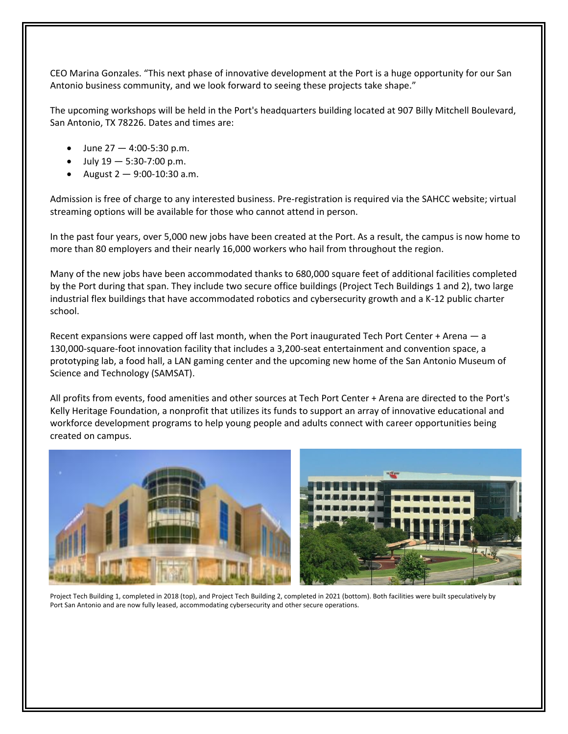CEO Marina Gonzales. "This next phase of innovative development at the Port is a huge opportunity for our San Antonio business community, and we look forward to seeing these projects take shape."

The upcoming workshops will be held in the Port's headquarters building located at 907 Billy Mitchell Boulevard, San Antonio, TX 78226. Dates and times are:

- June 27 4:00-5:30 p.m.
- July  $19 5:30 7:00$  p.m.
- August  $2 9:00 10:30$  a.m.

Admission is free of charge to any interested business. Pre-registration is required via the SAHCC website; virtual streaming options will be available for those who cannot attend in person.

In the past four years, over 5,000 new jobs have been created at the Port. As a result, the campus is now home to more than 80 employers and their nearly 16,000 workers who hail from throughout the region.

Many of the new jobs have been accommodated thanks to 680,000 square feet of additional facilities completed by the Port during that span. They include two secure office buildings (Project Tech Buildings 1 and 2), two large industrial flex buildings that have accommodated robotics and cybersecurity growth and a K-12 public charter school.

Recent expansions were capped off last month, when the Port inaugurated Tech Port Center + Arena — a 130,000-square-foot innovation facility that includes a 3,200-seat entertainment and convention space, a prototyping lab, a food hall, a LAN gaming center and the upcoming new home of the San Antonio Museum of Science and Technology (SAMSAT).

All profits from events, food amenities and other sources at Tech Port Center + Arena are directed to the Port's Kelly Heritage Foundation, a nonprofit that utilizes its funds to support an array of innovative educational and workforce development programs to help young people and adults connect with career opportunities being created on campus.



Project Tech Building 1, completed in 2018 (top), and Project Tech Building 2, completed in 2021 (bottom). Both facilities were built speculatively by Port San Antonio and are now fully leased, accommodating cybersecurity and other secure operations.